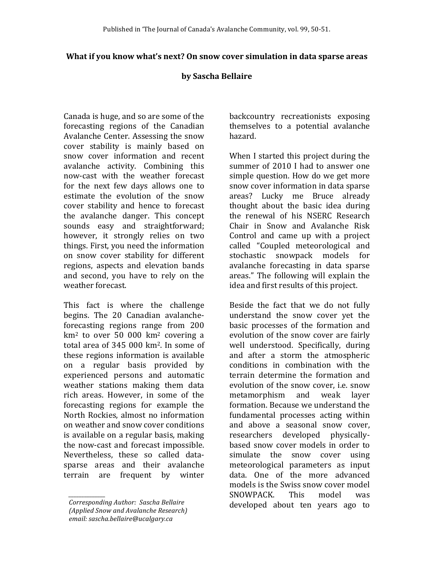## **What if you know what's next? On snow cover simulation in data sparse areas**

## **by Sascha Bellaire**

Canada is huge, and so are some of the forecasting regions of the Canadian Avalanche Center. Assessing the snow cover stability is mainly based on snow cover information and recent avalanche activity. Combining this now-cast with the weather forecast for the next few days allows one to estimate the evolution of the snow cover stability and hence to forecast the avalanche danger. This concept sounds easy and straightforward; however, it strongly relies on two things. First, you need the information on snow cover stability for different regions, aspects and elevation bands and second, you have to rely on the weather forecast.

This fact is where the challenge begins. The 20 Canadian avalancheforecasting regions range from 200  $km<sup>2</sup>$  to over 50 000  $km<sup>2</sup>$  covering a total area of  $345,000 \text{ km}^2$ . In some of these regions information is available on a regular basis provided by experienced persons and automatic weather stations making them data rich areas. However, in some of the forecasting regions for example the North Rockies, almost no information on weather and snow cover conditions is available on a regular basis, making the now-cast and forecast impossible. Nevertheless, these so called datasparse areas and their avalanche terrain are frequent by winter

*\_\_\_\_\_\_\_\_\_\_\_\_\_\_*

backcountry recreationists exposing themselves to a potential avalanche hazard.

When I started this project during the summer of 2010 I had to answer one simple question. How do we get more snow cover information in data sparse areas? Lucky me Bruce already thought about the basic idea during the renewal of his NSERC Research Chair in Snow and Avalanche Risk Control and came up with a project called "Coupled meteorological and stochastic snowpack models for avalanche forecasting in data sparse areas." The following will explain the idea and first results of this project.

Beside the fact that we do not fully understand the snow cover yet the basic processes of the formation and evolution of the snow cover are fairly well understood. Specifically, during and after a storm the atmospheric conditions in combination with the terrain determine the formation and evolution of the snow cover, i.e. snow metamorphism and weak layer formation. Because we understand the fundamental processes acting within and above a seasonal snow cover, researchers developed physicallybased snow cover models in order to simulate the snow cover using meteorological parameters as input data. One of the more advanced models is the Swiss snow cover model SNOWPACK. This model was developed about ten years ago to

*Corresponding Author: Sascha Bellaire (Applied Snow and Avalanche Research) email: sascha.bellaire@ucalgary.ca*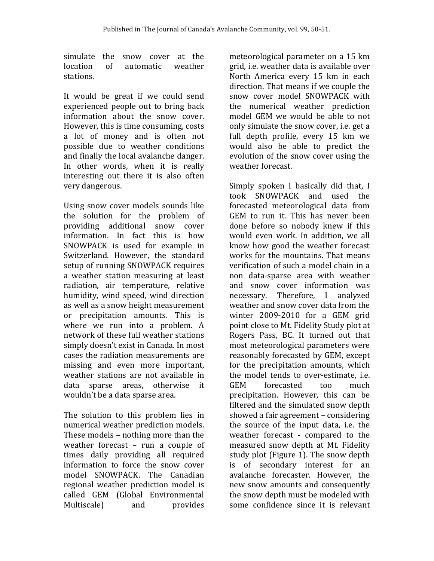simulate the snow cover at the location of automatic weather stations.

It would be great if we could send experienced people out to bring back information about the snow cover. However, this is time consuming, costs a lot of money and is often not possible due to weather conditions and finally the local avalanche danger. In other words, when it is really interesting out there it is also often very dangerous.

Using snow cover models sounds like the solution for the problem of providing additional snow cover information. In fact this is how SNOWPACK is used for example in Switzerland. However, the standard setup of running SNOWPACK requires a weather station measuring at least radiation, air temperature, relative humidity, wind speed, wind direction as well as a snow height measurement or precipitation amounts. This is where we run into a problem. A network of these full weather stations simply doesn't exist in Canada. In most cases the radiation measurements are missing and even more important, weather stations are not available in data sparse areas, otherwise it wouldn't be a data sparse area.

The solution to this problem lies in numerical weather prediction models. These models  $-$  nothing more than the weather forecast  $-$  run a couple of times daily providing all required information to force the snow cover model SNOWPACK. The Canadian regional weather prediction model is called GEM (Global Environmental Multiscale) and provides

meteorological parameter on a 15 km grid, i.e. weather data is available over North America every 15 km in each direction. That means if we couple the snow cover model SNOWPACK with the numerical weather prediction model GEM we would be able to not only simulate the snow cover, *i.e.* get a full depth profile, every 15 km we would also be able to predict the evolution of the snow cover using the weather forecast.

Simply spoken I basically did that, I took SNOWPACK and used the forecasted meteorological data from GEM to run it. This has never been done before so nobody knew if this would even work. In addition, we all know how good the weather forecast works for the mountains. That means verification of such a model chain in a non data-sparse area with weather and snow cover information was necessary. Therefore, I analyzed weather and snow cover data from the winter 2009-2010 for a GEM grid point close to Mt. Fidelity Study plot at Rogers Pass, BC. It turned out that most meteorological parameters were reasonably forecasted by GEM, except for the precipitation amounts, which the model tends to over-estimate, *i.e.* GEM forecasted too much precipitation. However, this can be filtered and the simulated snow depth showed a fair agreement – considering the source of the input data, i.e. the weather forecast - compared to the measured snow depth at Mt. Fidelity study plot (Figure 1). The snow depth is of secondary interest for an avalanche forecaster. However, the new snow amounts and consequently the snow depth must be modeled with some confidence since it is relevant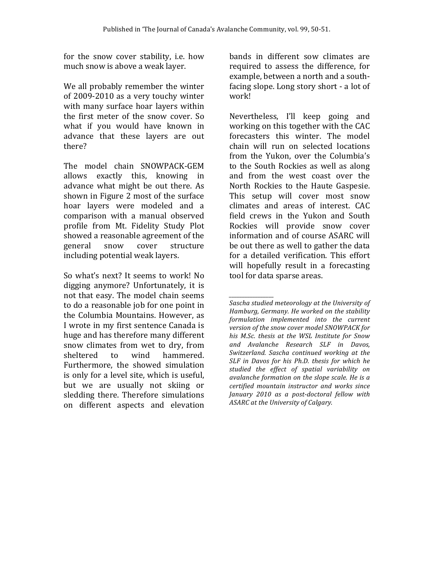for the snow cover stability, *i.e.* how much snow is above a weak layer.

We all probably remember the winter of 2009-2010 as a very touchy winter with many surface hoar layers within the first meter of the snow cover. So what if you would have known in advance that these layers are out there? 

The model chain SNOWPACK-GEM allows exactly this, knowing in advance what might be out there. As shown in Figure 2 most of the surface hoar layers were modeled and a comparison with a manual observed profile from Mt. Fidelity Study Plot showed a reasonable agreement of the general snow cover structure including potential weak layers.

So what's next? It seems to work! No digging anymore? Unfortunately, it is not that easy. The model chain seems to do a reasonable job for one point in the Columbia Mountains. However, as I wrote in my first sentence Canada is huge and has therefore many different snow climates from wet to dry, from sheltered to wind hammered. Furthermore, the showed simulation is only for a level site, which is useful, but we are usually not skiing or sledding there. Therefore simulations on different aspects and elevation  bands in different sow climates are required to assess the difference, for example, between a north and a southfacing slope. Long story short - a lot of work!

Nevertheless, I'll keep going and working on this together with the CAC forecasters this winter. The model chain will run on selected locations from the Yukon, over the Columbia's to the South Rockies as well as along and from the west coast over the North Rockies to the Haute Gaspesie. This setup will cover most snow climates and areas of interest. CAC field crews in the Yukon and South Rockies will provide snow cover information and of course ASARC will be out there as well to gather the data for a detailed verification. This effort will hopefully result in a forecasting tool for data sparse areas.

*\_\_\_\_\_\_\_\_\_\_\_\_\_\_\_\_\_* Sascha studied meteorology at the University of Hamburg, Germany. He worked on the stability *formulation implemented into the current*  version of the snow cover model SNOWPACK for his M.Sc. thesis at the WSL Institute for Snow *and Avalanche Research SLF in Davos, Switzerland. Sascha continued working at the SLF* in Davos for his Ph.D. thesis for which he *studied the effect of spatial variability on*  avalanche formation on the slope scale. He is a *certified mountain instructor and works since January 2010 as a post-doctoral fellow with ASARC at the University of Calgary.*